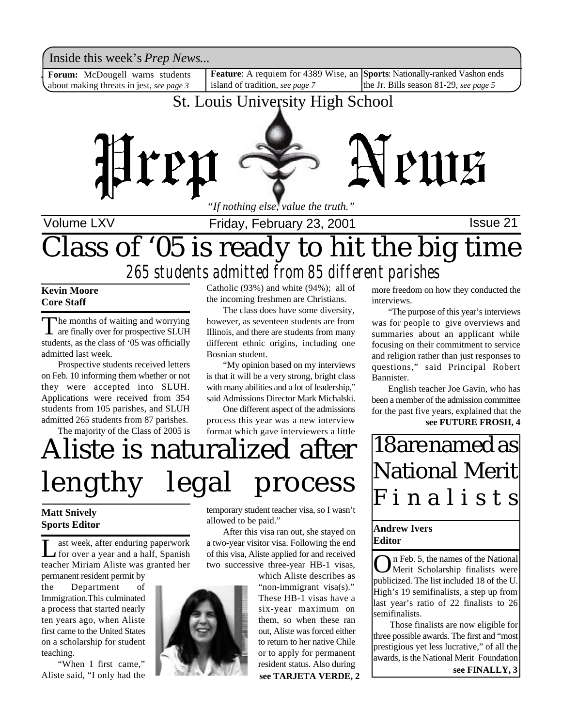Inside this week's *Prep News*...

**Forum:** McDougell warns students about making threats in jest, *see page 3*

Inside this week's *Prep News*...<br>**Forum:** McDougell warns students **Feature**: A requiem for 4389 Wise, an Sports: Nationally-ranked Vashon ends island of tradition, *see page 7* the Jr. Bills season 81-29, *see page 5*

### St. Louis University High School



Volume LXV **Interpretent Collect Friday, February 23, 2001 Issue 21** 

## Class of '05 is ready to hit the big time *265 students admitted from 85 different parishes*

**Kevin Moore Core Staff**

The months of waiting and worrying<br>are finally over for prospective SLUH he months of waiting and worrying students, as the class of '05 was officially admitted last week.

Prospective students received letters on Feb. 10 informing them whether or not they were accepted into SLUH. Applications were received from 354 students from 105 parishes, and SLUH admitted 265 students from 87 parishes.

The majority of the Class of 2005 is

Catholic (93%) and white (94%); all of the incoming freshmen are Christians.

The class does have some diversity, however, as seventeen students are from Illinois, and there are students from many different ethnic origins, including one Bosnian student.

"My opinion based on my interviews is that it will be a very strong, bright class with many abilities and a lot of leadership," said Admissions Director Mark Michalski.

One different aspect of the admissions process this year was a new interview format which gave interviewers a little

# Aliste is naturalized after lengthy legal process

#### **Matt Snively Sports Editor**

Let the state of the state of the space of the state of the spanish for over a year and a half, Spanish ast week, after enduring paperwork teacher Miriam Aliste was granted her

permanent resident permit by the Department of Immigration.This culminated a process that started nearly ten years ago, when Aliste first came to the United States on a scholarship for student teaching.

"When I first came," Aliste said, "I only had the



temporary student teacher visa, so I wasn't allowed to be paid."

After this visa ran out, she stayed on a two-year visitor visa. Following the end of this visa, Aliste applied for and received two successive three-year HB-1 visas,

which Aliste describes as "non-immigrant visa(s)." These HB-1 visas have a six-year maximum on them, so when these ran out, Aliste was forced either to return to her native Chile or to apply for permanent resident status. Also during **see TARJETA VERDE, 2** more freedom on how they conducted the interviews.

"The purpose of this year's interviews was for people to give overviews and summaries about an applicant while focusing on their commitment to service and religion rather than just responses to questions," said Principal Robert Bannister.

English teacher Joe Gavin, who has been a member of the admission committee for the past five years, explained that the **see FUTURE FROSH, 4**

18 are named as National Merit F i n a l i s t s

#### **Andrew Ivers Editor**

**O**n Feb. 5, the names of the National<br>Merit Scholarship finalists were<br>publicized. The list included 18 of the U. n Feb. 5, the names of the National Merit Scholarship finalists were High's 19 semifinalists, a step up from last year's ratio of 22 finalists to 26 semifinalists.

Those finalists are now eligible for three possible awards. The first and "most prestigious yet less lucrative," of all the awards, is the National Merit Foundation

**see FINALLY, 3**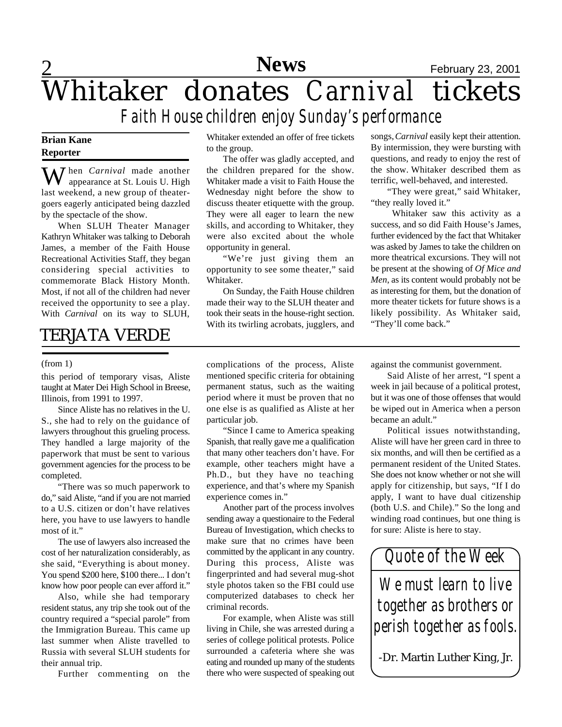## 2 **News** February 23, 2001 Whitaker donates *Carnival* tickets *Faith House children enjoy Sunday's performance*

#### **Brian Kane Reporter**

When *Carnival* made another appearance at St. Louis U. High last weekend, a new group of theatergoers eagerly anticipated being dazzled by the spectacle of the show.

When SLUH Theater Manager Kathryn Whitaker was talking to Deborah James, a member of the Faith House Recreational Activities Staff, they began considering special activities to commemorate Black History Month. Most, if not all of the children had never received the opportunity to see a play. With *Carnival* on its way to SLUH,

### TERJATA VERDE

#### (from 1)

this period of temporary visas, Aliste taught at Mater Dei High School in Breese, Illinois, from 1991 to 1997.

Since Aliste has no relatives in the U. S., she had to rely on the guidance of lawyers throughout this grueling process. They handled a large majority of the paperwork that must be sent to various government agencies for the process to be completed.

"There was so much paperwork to do," said Aliste, "and if you are not married to a U.S. citizen or don't have relatives here, you have to use lawyers to handle most of it."

The use of lawyers also increased the cost of her naturalization considerably, as she said, "Everything is about money. You spend \$200 here, \$100 there... I don't know how poor people can ever afford it."

Also, while she had temporary resident status, any trip she took out of the country required a "special parole" from the Immigration Bureau. This came up last summer when Aliste travelled to Russia with several SLUH students for their annual trip.

Further commenting on the

Whitaker extended an offer of free tickets to the group.

The offer was gladly accepted, and the children prepared for the show. Whitaker made a visit to Faith House the Wednesday night before the show to discuss theater etiquette with the group. They were all eager to learn the new skills, and according to Whitaker, they were also excited about the whole opportunity in general.

"We're just giving them an opportunity to see some theater," said Whitaker.

On Sunday, the Faith House children made their way to the SLUH theater and took their seats in the house-right section. With its twirling acrobats, jugglers, and songs, *Carnival* easily kept their attention. By intermission, they were bursting with questions, and ready to enjoy the rest of the show. Whitaker described them as terrific, well-behaved, and interested.

"They were great," said Whitaker, "they really loved it."

Whitaker saw this activity as a success, and so did Faith House's James, further evidenced by the fact that Whitaker was asked by James to take the children on more theatrical excursions. They will not be present at the showing of *Of Mice and Men*, as its content would probably not be as interesting for them, but the donation of more theater tickets for future shows is a likely possibility. As Whitaker said, "They'll come back."

complications of the process, Aliste mentioned specific criteria for obtaining permanent status, such as the waiting period where it must be proven that no one else is as qualified as Aliste at her particular job.

"Since I came to America speaking Spanish, that really gave me a qualification that many other teachers don't have. For example, other teachers might have a Ph.D., but they have no teaching experience, and that's where my Spanish experience comes in."

Another part of the process involves sending away a questionaire to the Federal Bureau of Investigation, which checks to make sure that no crimes have been committed by the applicant in any country. During this process, Aliste was fingerprinted and had several mug-shot style photos taken so the FBI could use computerized databases to check her criminal records.

For example, when Aliste was still living in Chile, she was arrested during a series of college political protests. Police surrounded a cafeteria where she was eating and rounded up many of the students there who were suspected of speaking out against the communist government.

Said Aliste of her arrest, "I spent a week in jail because of a political protest, but it was one of those offenses that would be wiped out in America when a person became an adult."

Political issues notwithstanding, Aliste will have her green card in three to six months, and will then be certified as a permanent resident of the United States. She does not know whether or not she will apply for citizenship, but says, "If I do apply, I want to have dual citizenship (both U.S. and Chile)." So the long and winding road continues, but one thing is for sure: Aliste is here to stay.

*Quote of the Week We must learn to live together as brothers or perish together as fools.*

-Dr. Martin Luther King, Jr.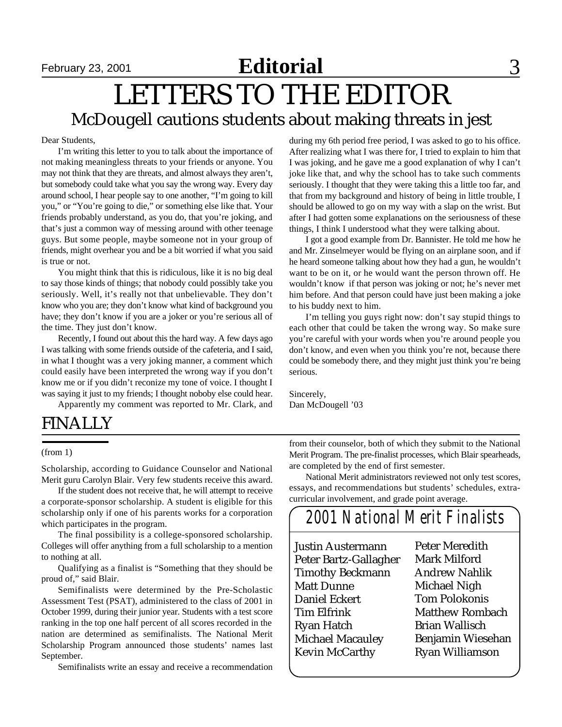## **Editorial** September 23, 2001 **Editorial** 3

### LETTERS TO THE EDITOR McDougell cautions students about making threats in jest

#### Dear Students,

I'm writing this letter to you to talk about the importance of not making meaningless threats to your friends or anyone. You may not think that they are threats, and almost always they aren't, but somebody could take what you say the wrong way. Every day around school, I hear people say to one another, "I'm going to kill you," or "You're going to die," or something else like that. Your friends probably understand, as you do, that you're joking, and that's just a common way of messing around with other teenage guys. But some people, maybe someone not in your group of friends, might overhear you and be a bit worried if what you said is true or not.

You might think that this is ridiculous, like it is no big deal to say those kinds of things; that nobody could possibly take you seriously. Well, it's really not that unbelievable. They don't know who you are; they don't know what kind of background you have; they don't know if you are a joker or you're serious all of the time. They just don't know.

Recently, I found out about this the hard way. A few days ago I was talking with some friends outside of the cafeteria, and I said, in what I thought was a very joking manner, a comment which could easily have been interpreted the wrong way if you don't know me or if you didn't reconize my tone of voice. I thought I was saying it just to my friends; I thought noboby else could hear.

Apparently my comment was reported to Mr. Clark, and

### FINALLY

(from 1)

Scholarship, according to Guidance Counselor and National Merit guru Carolyn Blair. Very few students receive this award.

If the student does not receive that, he will attempt to receive a corporate-sponsor scholarship. A student is eligible for this scholarship only if one of his parents works for a corporation which participates in the program.

The final possibility is a college-sponsored scholarship. Colleges will offer anything from a full scholarship to a mention to nothing at all.

Qualifying as a finalist is "Something that they should be proud of," said Blair.

Semifinalists were determined by the Pre-Scholastic Assessment Test (PSAT), administered to the class of 2001 in October 1999, during their junior year. Students with a test score ranking in the top one half percent of all scores recorded in the nation are determined as semifinalists. The National Merit Scholarship Program announced those students' names last September.

Semifinalists write an essay and receive a recommendation

during my 6th period free period, I was asked to go to his office. After realizing what I was there for, I tried to explain to him that I was joking, and he gave me a good explanation of why I can't joke like that, and why the school has to take such comments seriously. I thought that they were taking this a little too far, and that from my background and history of being in little trouble, I should be allowed to go on my way with a slap on the wrist. But after I had gotten some explanations on the seriousness of these things, I think I understood what they were talking about.

I got a good example from Dr. Bannister. He told me how he and Mr. Zinselmeyer would be flying on an airplane soon, and if he heard someone talking about how they had a gun, he wouldn't want to be on it, or he would want the person thrown off. He wouldn't know if that person was joking or not; he's never met him before. And that person could have just been making a joke to his buddy next to him.

I'm telling you guys right now: don't say stupid things to each other that could be taken the wrong way. So make sure you're careful with your words when you're around people you don't know, and even when you think you're not, because there could be somebody there, and they might just think you're being serious.

Sincerely, Dan McDougell '03

from their counselor, both of which they submit to the National Merit Program. The pre-finalist processes, which Blair spearheads, are completed by the end of first semester.

National Merit administrators reviewed not only test scores, essays, and recommendations but students' schedules, extracurricular involvement, and grade point average.

### *2001 National Merit Finalists*

Justin Austermann Peter Bartz-Gallagher Timothy Beckmann Matt Dunne Daniel Eckert Tim Elfrink Ryan Hatch Michael Macauley Kevin McCarthy

Peter Meredith Mark Milford Andrew Nahlik Michael Nigh Tom Polokonis Matthew Rombach Brian Wallisch Benjamin Wiesehan Ryan Williamson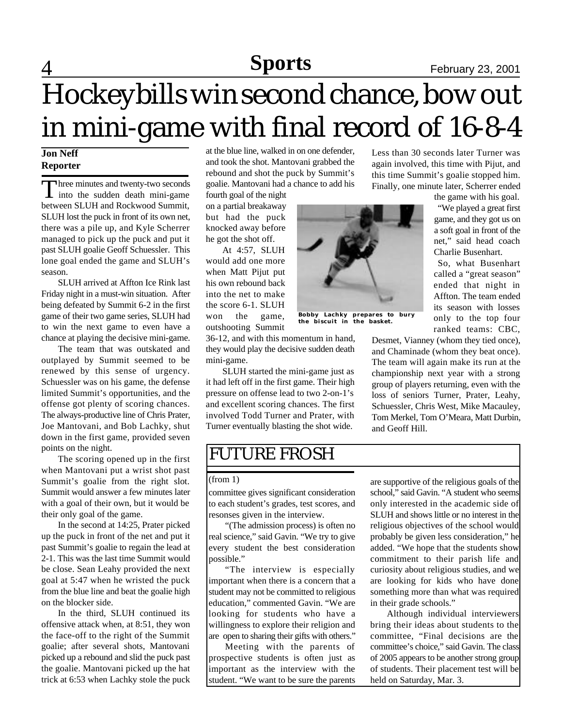### 4 **Sports** February 23, 2001 **Sports**

# Hockeybills win second chance, bow out in mini-game with final record of 16-8-4

**Jon Neff Reporter**

Three minutes and twenty-two seconds<br>into the sudden death mini-game hree minutes and twenty-two seconds between SLUH and Rockwood Summit, SLUH lost the puck in front of its own net, there was a pile up, and Kyle Scherrer managed to pick up the puck and put it past SLUH goalie Geoff Schuessler. This lone goal ended the game and SLUH's season.

SLUH arrived at Affton Ice Rink last Friday night in a must-win situation. After being defeated by Summit 6-2 in the first game of their two game series, SLUH had to win the next game to even have a chance at playing the decisive mini-game.

The team that was outskated and outplayed by Summit seemed to be renewed by this sense of urgency. Schuessler was on his game, the defense limited Summit's opportunities, and the offense got plenty of scoring chances. The always-productive line of Chris Prater, Joe Mantovani, and Bob Lachky, shut down in the first game, provided seven points on the night.

The scoring opened up in the first when Mantovani put a wrist shot past Summit's goalie from the right slot. Summit would answer a few minutes later with a goal of their own, but it would be their only goal of the game.

In the second at 14:25, Prater picked up the puck in front of the net and put it past Summit's goalie to regain the lead at 2-1. This was the last time Summit would be close. Sean Leahy provided the next goal at 5:47 when he wristed the puck from the blue line and beat the goalie high on the blocker side.

In the third, SLUH continued its offensive attack when, at 8:51, they won the face-off to the right of the Summit goalie; after several shots, Mantovani picked up a rebound and slid the puck past the goalie. Mantovani picked up the hat trick at 6:53 when Lachky stole the puck at the blue line, walked in on one defender, and took the shot. Mantovani grabbed the rebound and shot the puck by Summit's goalie. Mantovani had a chance to add his

fourth goal of the night on a partial breakaway but had the puck knocked away before he got the shot off.

At 4:57, SLUH would add one more when Matt Pijut put his own rebound back into the net to make the score 6-1. SLUH won the game, outshooting Summit

36-12, and with this momentum in hand, they would play the decisive sudden death mini-game.

SLUH started the mini-game just as it had left off in the first game. Their high pressure on offense lead to two 2-on-1's and excellent scoring chances. The first involved Todd Turner and Prater, with Turner eventually blasting the shot wide.

### FUTURE FROSH

#### (from 1)

committee gives significant consideration to each student's grades, test scores, and resonses given in the interview.

"(The admission process) is often no real science," said Gavin. "We try to give every student the best consideration possible."

"The interview is especially important when there is a concern that a student may not be committed to religious education," commented Gavin. "We are looking for students who have a willingness to explore their religion and are open to sharing their gifts with others."

Meeting with the parents of prospective students is often just as important as the interview with the student. "We want to be sure the parents Less than 30 seconds later Turner was again involved, this time with Pijut, and this time Summit's goalie stopped him. Finally, one minute later, Scherrer ended

the game with his goal.

"We played a great first game, and they got us on a soft goal in front of the net," said head coach Charlie Busenhart.

So, what Busenhart called a "great season" ended that night in Affton. The team ended its season with losses only to the top four ranked teams: CBC,

Desmet, Vianney (whom they tied once), and Chaminade (whom they beat once). The team will again make its run at the championship next year with a strong group of players returning, even with the loss of seniors Turner, Prater, Leahy, Schuessler, Chris West, Mike Macauley, Tom Merkel, Tom O'Meara, Matt Durbin, and Geoff Hill.

are supportive of the religious goals of the school," said Gavin. "A student who seems only interested in the academic side of SLUH and shows little or no interest in the religious objectives of the school would probably be given less consideration," he added. "We hope that the students show commitment to their parish life and curiosity about religious studies, and we are looking for kids who have done something more than what was required in their grade schools."

Although individual interviewers bring their ideas about students to the committee, "Final decisions are the committee's choice," said Gavin. The class of 2005 appears to be another strong group of students. Their placement test will be held on Saturday, Mar. 3.



**the biscuit in the basket.**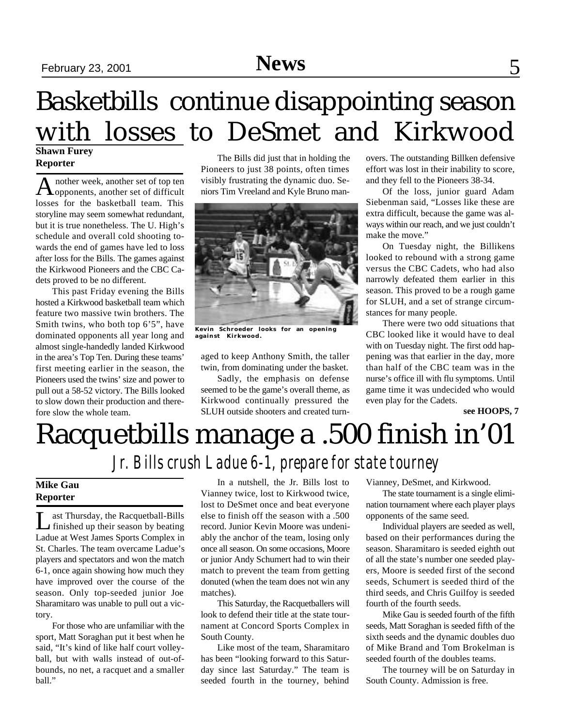### **Shawn Furey** Basketbills continue disappointing season with losses to DeSmet and Kirkwood

### **Reporter**

A nother week, another set of top ten<br>
opponents, another set of difficult nother week, another set of top ten losses for the basketball team. This storyline may seem somewhat redundant, but it is true nonetheless. The U. High's schedule and overall cold shooting towards the end of games have led to loss after loss for the Bills. The games against the Kirkwood Pioneers and the CBC Cadets proved to be no different.

This past Friday evening the Bills hosted a Kirkwood basketball team which feature two massive twin brothers. The Smith twins, who both top 6'5", have dominated opponents all year long and almost single-handedly landed Kirkwood in the area's Top Ten. During these teams' first meeting earlier in the season, the Pioneers used the twins' size and power to pull out a 58-52 victory. The Bills looked to slow down their production and therefore slow the whole team.

The Bills did just that in holding the Pioneers to just 38 points, often times visibly frustrating the dynamic duo. Seniors Tim Vreeland and Kyle Bruno man-



**Kevin Schroeder looks for an opening against Kirkwood.**

aged to keep Anthony Smith, the taller twin, from dominating under the basket.

Sadly, the emphasis on defense seemed to be the game's overall theme, as Kirkwood continually pressured the SLUH outside shooters and created turn-

overs. The outstanding Billken defensive effort was lost in their inability to score, and they fell to the Pioneers 38-34.

Of the loss, junior guard Adam Siebenman said, "Losses like these are extra difficult, because the game was always within our reach, and we just couldn't make the move."

On Tuesday night, the Billikens looked to rebound with a strong game versus the CBC Cadets, who had also narrowly defeated them earlier in this season. This proved to be a rough game for SLUH, and a set of strange circumstances for many people.

There were two odd situations that CBC looked like it would have to deal with on Tuesday night. The first odd happening was that earlier in the day, more than half of the CBC team was in the nurse's office ill with flu symptoms. Until game time it was undecided who would even play for the Cadets.

**see HOOPS, 7**

## Racquetbills manage a .500 finish in'01 *Jr. Bills crush Ladue 6-1, prepare for state tourney*

### **Mike Gau Reporter**

Let Thursday, the Racquetball-Bills<br>
finished up their season by beating ast Thursday, the Racquetball-Bills Ladue at West James Sports Complex in St. Charles. The team overcame Ladue's players and spectators and won the match 6-1, once again showing how much they have improved over the course of the season. Only top-seeded junior Joe Sharamitaro was unable to pull out a victory.

For those who are unfamiliar with the sport, Matt Soraghan put it best when he said, "It's kind of like half court volleyball, but with walls instead of out-ofbounds, no net, a racquet and a smaller ball."

In a nutshell, the Jr. Bills lost to Vianney twice, lost to Kirkwood twice, lost to DeSmet once and beat everyone else to finish off the season with a .500 record. Junior Kevin Moore was undeniably the anchor of the team, losing only once all season. On some occasions, Moore or junior Andy Schumert had to win their match to prevent the team from getting donuted (when the team does not win any matches).

This Saturday, the Racquetballers will look to defend their title at the state tournament at Concord Sports Complex in South County.

Like most of the team, Sharamitaro has been "looking forward to this Saturday since last Saturday." The team is seeded fourth in the tourney, behind Vianney, DeSmet, and Kirkwood.

The state tournament is a single elimination tournament where each player plays opponents of the same seed.

Individual players are seeded as well, based on their performances during the season. Sharamitaro is seeded eighth out of all the state's number one seeded players, Moore is seeded first of the second seeds, Schumert is seeded third of the third seeds, and Chris Guilfoy is seeded fourth of the fourth seeds.

Mike Gau is seeded fourth of the fifth seeds, Matt Soraghan is seeded fifth of the sixth seeds and the dynamic doubles duo of Mike Brand and Tom Brokelman is seeded fourth of the doubles teams.

The tourney will be on Saturday in South County. Admission is free.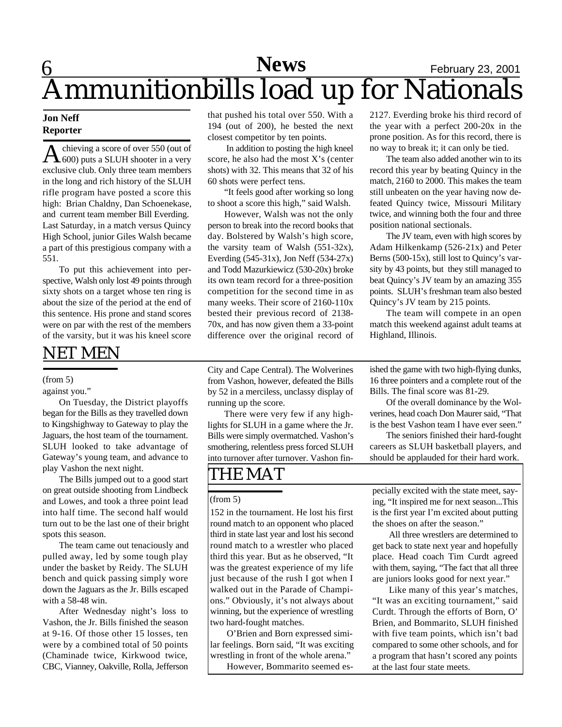# 6 **News** February 23, 2001 Ammunitionbills load up for Nationals

#### **Jon Neff Reporter**

A chieving a score of over 550 (out of<br>
600) puts a SLUH shooter in a very chieving a score of over 550 (out of exclusive club. Only three team members in the long and rich history of the SLUH rifle program have posted a score this high: Brian Chaldny, Dan Schoenekase, and current team member Bill Everding. Last Saturday, in a match versus Quincy High School, junior Giles Walsh became a part of this prestigious company with a 551.

To put this achievement into perspective, Walsh only lost 49 points through sixty shots on a target whose ten ring is about the size of the period at the end of this sentence. His prone and stand scores were on par with the rest of the members of the varsity, but it was his kneel score

### NET MEN

#### (from 5)

#### against you."

On Tuesday, the District playoffs began for the Bills as they travelled down to Kingshighway to Gateway to play the Jaguars, the host team of the tournament. SLUH looked to take advantage of Gateway's young team, and advance to play Vashon the next night.

The Bills jumped out to a good start on great outside shooting from Lindbeck and Lowes, and took a three point lead into half time. The second half would turn out to be the last one of their bright spots this season.

The team came out tenaciously and pulled away, led by some tough play under the basket by Reidy. The SLUH bench and quick passing simply wore down the Jaguars as the Jr. Bills escaped with a 58-48 win.

After Wednesday night's loss to Vashon, the Jr. Bills finished the season at 9-16. Of those other 15 losses, ten were by a combined total of 50 points (Chaminade twice, Kirkwood twice, CBC, Vianney, Oakville, Rolla, Jefferson that pushed his total over 550. With a 194 (out of 200), he bested the next closest competitor by ten points.

 In addition to posting the high kneel score, he also had the most X's (center shots) with 32. This means that 32 of his 60 shots were perfect tens.

"It feels good after working so long to shoot a score this high," said Walsh.

However, Walsh was not the only person to break into the record books that day. Bolstered by Walsh's high score, the varsity team of Walsh (551-32x), Everding (545-31x), Jon Neff (534-27x) and Todd Mazurkiewicz (530-20x) broke its own team record for a three-position competition for the second time in as many weeks. Their score of 2160-110x bested their previous record of 2138- 70x, and has now given them a 33-point difference over the original record of

City and Cape Central). The Wolverines from Vashon, however, defeated the Bills by 52 in a merciless, unclassy display of running up the score.

There were very few if any highlights for SLUH in a game where the Jr. Bills were simply overmatched. Vashon's smothering, relentless press forced SLUH into turnover after turnover. Vashon fin-

### THE MAT

#### (from 5)

152 in the tournament. He lost his first round match to an opponent who placed third in state last year and lost his second round match to a wrestler who placed third this year. But as he observed, "It was the greatest experience of my life just because of the rush I got when I walked out in the Parade of Champions." Obviously, it's not always about winning, but the experience of wrestling two hard-fought matches.

O'Brien and Born expressed similar feelings. Born said, "It was exciting wrestling in front of the whole arena."

However, Bommarito seemed es-

2127. Everding broke his third record of the year with a perfect 200-20x in the prone position. As for this record, there is no way to break it; it can only be tied.

The team also added another win to its record this year by beating Quincy in the match, 2160 to 2000. This makes the team still unbeaten on the year having now defeated Quincy twice, Missouri Military twice, and winning both the four and three position national sectionals.

The JV team, even with high scores by Adam Hilkenkamp (526-21x) and Peter Berns (500-15x), still lost to Quincy's varsity by 43 points, but they still managed to beat Quincy's JV team by an amazing 355 points. SLUH's freshman team also bested Quincy's JV team by 215 points.

The team will compete in an open match this weekend against adult teams at Highland, Illinois.

ished the game with two high-flying dunks, 16 three pointers and a complete rout of the Bills. The final score was 81-29.

Of the overall dominance by the Wolverines, head coach Don Maurer said, "That is the best Vashon team I have ever seen."

The seniors finished their hard-fought careers as SLUH basketball players, and should be applauded for their hard work.

pecially excited with the state meet, saying, "It inspired me for next season...This is the first year I'm excited about putting the shoes on after the season."

All three wrestlers are determined to get back to state next year and hopefully place. Head coach Tim Curdt agreed with them, saying, "The fact that all three are juniors looks good for next year."

Like many of this year's matches, "It was an exciting tournament," said Curdt. Through the efforts of Born, O' Brien, and Bommarito, SLUH finished with five team points, which isn't bad compared to some other schools, and for a program that hasn't scored any points at the last four state meets.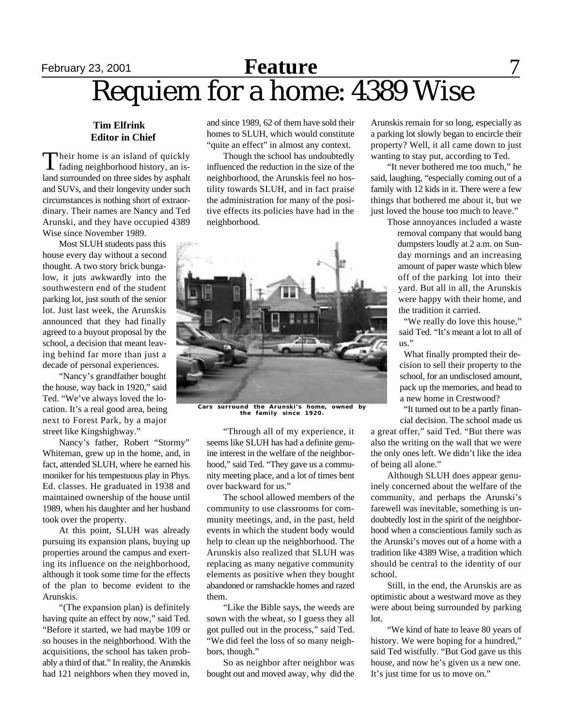### February 23, 2001 **Feature** 7 Requiem for a home: 4389 Wise **Feature**

#### **Tim Elfrink Editor in Chief**

Their home is an island of quickly<br>fading neighborhood history, an isheir home is an island of quickly land surrounded on three sides by asphalt and SUVs, and their longevity under such circumstances is nothing short of extraordinary. Their names are Nancy and Ted Arunski, and they have occupied 4389 Wise since November 1989.

Most SLUH students pass this house every day without a second thought. A two story brick bungalow, it juts awkwardly into the southwestern end of the student parking lot, just south of the senior lot. Just last week, the Arunskis announced that they had finally agreed to a buyout proposal by the school, a decision that meant leaving behind far more than just a decade of personal experiences.

"Nancy's grandfather bought the house, way back in 1920," said Ted. "We've always loved the location. It's a real good area, being next to Forest Park, by a major street like Kingshighway."

Nancy's father, Robert "Stormy" Whiteman, grew up in the home, and, in fact, attended SLUH, where he earned his moniker for his tempestuous play in Phys. Ed. classes. He graduated in 1938 and maintained ownership of the house until 1989, when his daughter and her husband took over the property.

At this point, SLUH was already pursuing its expansion plans, buying up properties around the campus and exerting its influence on the neighborhood, although it took some time for the effects of the plan to become evident to the Arunskis.

"(The expansion plan) is definitely having quite an effect by now," said Ted. "Before it started, we had maybe 109 or so houses in the neighborhood. With the acquisitions, the school has taken probably a third of that." In reality, the Arunskis had 121 neighbors when they moved in,

and since 1989, 62 of them have sold their homes to SLUH, which would constitute "quite an effect" in almost any context.

Though the school has undoubtedly influenced the reduction in the size of the neighborhood, the Arunskis feel no hostility towards SLUH, and in fact praise the administration for many of the positive effects its policies have had in the neighborhood.



surround the Arunski's home, owned by **the family since 1920.**

"Through all of my experience, it seems like SLUH has had a definite genuine interest in the welfare of the neighborhood," said Ted. "They gave us a community meeting place, and a lot of times bent over backward for us."

The school allowed members of the community to use classrooms for community meetings, and, in the past, held events in which the student body would help to clean up the neighborhood. The Arunskis also realized that SLUH was replacing as many negative community elements as positive when they bought abandoned or ramshackle homes and razed them.

"Like the Bible says, the weeds are sown with the wheat, so I guess they all got pulled out in the process," said Ted. "We did feel the loss of so many neighbors, though."

So as neighbor after neighbor was bought out and moved away, why did the Arunskis remain for so long, especially as a parking lot slowly began to encircle their property? Well, it all came down to just wanting to stay put, according to Ted.

"It never bothered me too much," he said, laughing, "especially coming out of a family with 12 kids in it. There were a few things that bothered me about it, but we just loved the house too much to leave."

> Those annoyances included a waste removal company that would bang dumpsters loudly at 2 a.m. on Sunday mornings and an increasing amount of paper waste which blew off of the parking lot into their yard. But all in all, the Arunskis were happy with their home, and the tradition it carried.

"We really do love this house," said Ted. "It's meant a lot to all of us."

What finally prompted their decision to sell their property to the school, for an undisclosed amount, pack up the memories, and head to a new home in Crestwood?

"It turned out to be a partly financial decision. The school made us

a great offer," said Ted. "But there was also the writing on the wall that we were the only ones left. We didn't like the idea of being all alone."

Although SLUH does appear genuinely concerned about the welfare of the community, and perhaps the Arunski's farewell was inevitable, something is undoubtedly lost in the spirit of the neighborhood when a conscientious family such as the Arunski's moves out of a home with a tradition like 4389 Wise, a tradition which should be central to the identity of our school.

Still, in the end, the Arunskis are as optimistic about a westward move as they were about being surrounded by parking lot.

"We kind of hate to leave 80 years of history. We were hoping for a hundred," said Ted wistfully. "But God gave us this house, and now he's given us a new one. It's just time for us to move on."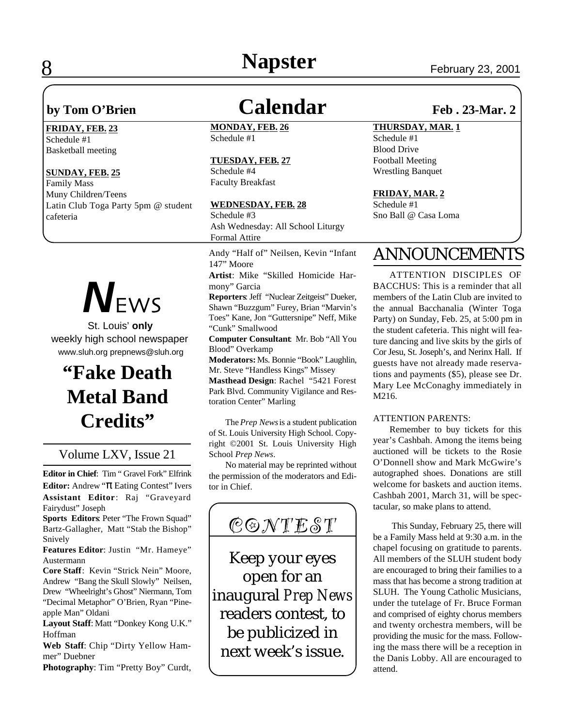# **8 Napster** February 23, 2001

#### **FRIDAY, FEB. 23**

Schedule #1 Basketball meeting

#### **SUNDAY, FEB. 25**

Family Mass Muny Children/Teens Latin Club Toga Party 5pm @ student cafeteria



 St. Louis' **only** weekly high school newspaper www.sluh.org prepnews@sluh.org

### **"Fake Death Metal Band Credits"**

### Volume LXV, Issue 21

**Editor in Chief**: Tim " Gravel Fork" Elfrink **Editor:** Andrew " Eating Contest" Ivers **Assistant Editor**: Raj "Graveyard Fairydust" Joseph

**Sports Editors**: Peter "The Frown Squad" Bartz-Gallagher, Matt "Stab the Bishop" Snively

**Features Editor**: Justin "Mr. Hameye" Austermann

**Core Staff**: Kevin "Strick Nein" Moore, Andrew "Bang the Skull Slowly" Neilsen, Drew "Wheelright's Ghost" Niermann, Tom "Decimal Metaphor" O'Brien, Ryan "Pineapple Man" Oldani

Layout Staff: Matt "Donkey Kong U.K." Hoffman

**Web Staff**: Chip "Dirty Yellow Hammer" Duebner

**Photography**: Tim "Pretty Boy" Curdt,

### by Tom O'Brien **Calendar Feb. 23-Mar. 2**

**MONDAY, FEB. 26** Schedule #1

#### **TUESDAY, FEB. 27**

Schedule #4 Faculty Breakfast

#### **WEDNESDAY, FEB. 28**

Schedule #3 Ash Wednesday: All School Liturgy Formal Attire

Andy "Half of" Neilsen, Kevin "Infant 147" Moore

**Artist**: Mike "Skilled Homicide Harmony" Garcia

**Reporters**: Jeff "Nuclear Zeitgeist" Dueker, Shawn "Buzzgum" Furey, Brian "Marvin's Toes" Kane, Jon "Guttersnipe" Neff, Mike "Cunk" Smallwood

**Computer Consultant**: Mr. Bob "All You Blood" Overkamp

**Moderators:** Ms. Bonnie "Book" Laughlin, Mr. Steve "Handless Kings" Missey

**Masthead Design**: Rachel "5421 Forest Park Blvd. Community Vigilance and Restoration Center" Marling

The *Prep News* is a student publication of St. Louis University High School. Copyright ©2001 St. Louis University High School *Prep News*.

No material may be reprinted without the permission of the moderators and Editor in Chief.



Keep your eyes open for an inaugural *Prep News* readers contest, to be publicized in next week's issue.

#### **THURSDAY, MAR. 1**

Schedule #1 Blood Drive Football Meeting Wrestling Banquet

#### **FRIDAY, MAR. 2**

Schedule #1 Sno Ball @ Casa Loma

### ANNOUNCEMENTS

ATTENTION DISCIPLES OF BACCHUS: This is a reminder that all members of the Latin Club are invited to the annual Bacchanalia (Winter Toga Party) on Sunday, Feb. 25, at 5:00 pm in the student cafeteria. This night will feature dancing and live skits by the girls of Cor Jesu, St. Joseph's, and Nerinx Hall. If guests have not already made reservations and payments (\$5), please see Dr. Mary Lee McConaghy immediately in M216.

#### ATTENTION PARENTS:

Remember to buy tickets for this year's Cashbah. Among the items being auctioned will be tickets to the Rosie O'Donnell show and Mark McGwire's autographed shoes. Donations are still welcome for baskets and auction items. Cashbah 2001, March 31, will be spectacular, so make plans to attend.

 This Sunday, February 25, there will be a Family Mass held at 9:30 a.m. in the chapel focusing on gratitude to parents. All members of the SLUH student body are encouraged to bring their families to a mass that has become a strong tradition at SLUH. The Young Catholic Musicians, under the tutelage of Fr. Bruce Forman and comprised of eighty chorus members and twenty orchestra members, will be providing the music for the mass. Following the mass there will be a reception in the Danis Lobby. All are encouraged to attend.